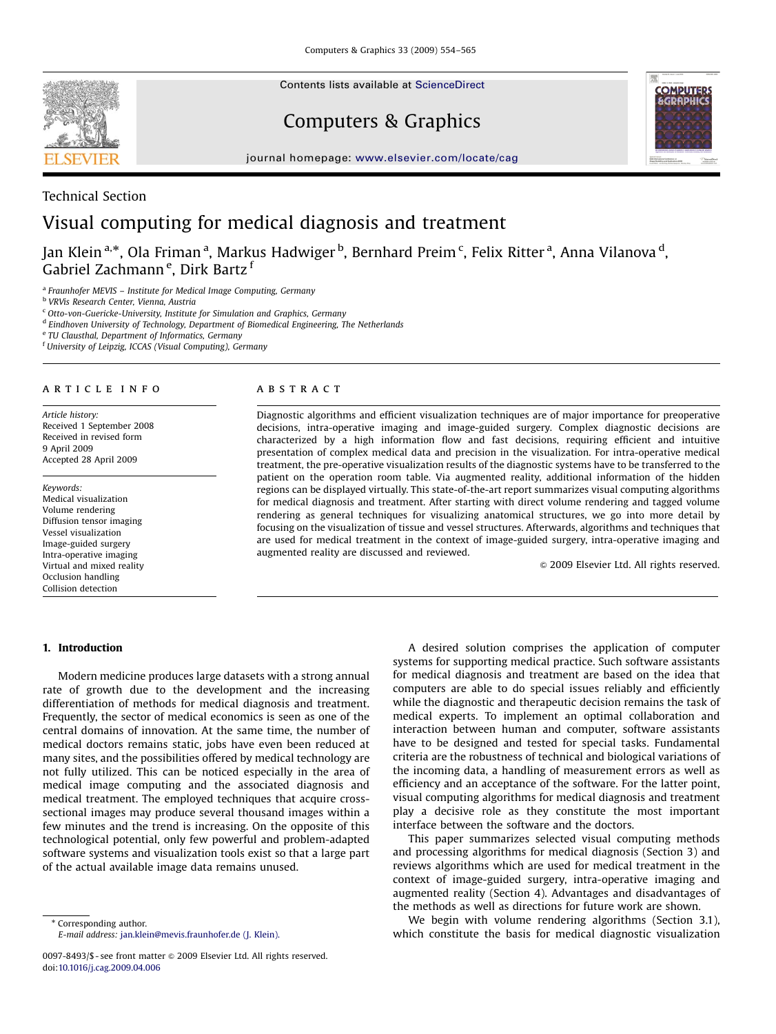Contents lists available at [ScienceDirect](www.sciencedirect.com/science/journal/cag)

# Computers & Graphics



journal homepage: <www.elsevier.com/locate/cag>

# Technical Section

# Visual computing for medical diagnosis and treatment

Jan Klein<sup>a,</sup>\*, Ola Friman<sup>a</sup>, Markus Hadwiger <sup>b</sup>, Bernhard Preim <sup>c</sup>, Felix Ritter <sup>a</sup>, Anna Vilanova <sup>d</sup>, .<br>Gabriel Zachmann<sup>e</sup>, Dirk Bartz <sup>f</sup>

<sup>a</sup> Fraunhofer MEVIS – Institute for Medical Image Computing, Germany

<sup>b</sup> VRVis Research Center, Vienna, Austria

<sup>c</sup> Otto-von-Guericke-University, Institute for Simulation and Graphics, Germany

<sup>d</sup> Eindhoven University of Technology, Department of Biomedical Engineering, The Netherlands

<sup>e</sup> TU Clausthal, Department of Informatics, Germany

<sup>f</sup> University of Leipzig, ICCAS (Visual Computing), Germany

# article info

Article history: Received 1 September 2008 Received in revised form 9 April 2009 Accepted 28 April 2009

Keywords: Medical visualization Volume rendering Diffusion tensor imaging Vessel visualization Image-guided surgery Intra-operative imaging Virtual and mixed reality Occlusion handling Collision detection

## 1. Introduction

# **ABSTRACT**

Diagnostic algorithms and efficient visualization techniques are of major importance for preoperative decisions, intra-operative imaging and image-guided surgery. Complex diagnostic decisions are characterized by a high information flow and fast decisions, requiring efficient and intuitive presentation of complex medical data and precision in the visualization. For intra-operative medical treatment, the pre-operative visualization results of the diagnostic systems have to be transferred to the patient on the operation room table. Via augmented reality, additional information of the hidden regions can be displayed virtually. This state-of-the-art report summarizes visual computing algorithms for medical diagnosis and treatment. After starting with direct volume rendering and tagged volume rendering as general techniques for visualizing anatomical structures, we go into more detail by focusing on the visualization of tissue and vessel structures. Afterwards, algorithms and techniques that are used for medical treatment in the context of image-guided surgery, intra-operative imaging and augmented reality are discussed and reviewed.

& 2009 Elsevier Ltd. All rights reserved.

Modern medicine produces large datasets with a strong annual rate of growth due to the development and the increasing differentiation of methods for medical diagnosis and treatment. Frequently, the sector of medical economics is seen as one of the central domains of innovation. At the same time, the number of medical doctors remains static, jobs have even been reduced at many sites, and the possibilities offered by medical technology are not fully utilized. This can be noticed especially in the area of medical image computing and the associated diagnosis and medical treatment. The employed techniques that acquire crosssectional images may produce several thousand images within a few minutes and the trend is increasing. On the opposite of this technological potential, only few powerful and problem-adapted software systems and visualization tools exist so that a large part of the actual available image data remains unused.

\* Corresponding author. E-mail address: [jan.klein@mevis.fraunhofer.de \(J. Klein\).](mailto:jan.klein@mevis.fraunhofer.de)

A desired solution comprises the application of computer systems for supporting medical practice. Such software assistants for medical diagnosis and treatment are based on the idea that computers are able to do special issues reliably and efficiently while the diagnostic and therapeutic decision remains the task of medical experts. To implement an optimal collaboration and interaction between human and computer, software assistants have to be designed and tested for special tasks. Fundamental criteria are the robustness of technical and biological variations of the incoming data, a handling of measurement errors as well as efficiency and an acceptance of the software. For the latter point, visual computing algorithms for medical diagnosis and treatment play a decisive role as they constitute the most important interface between the software and the doctors.

This paper summarizes selected visual computing methods and processing algorithms for medical diagnosis (Section 3) and reviews algorithms which are used for medical treatment in the context of image-guided surgery, intra-operative imaging and augmented reality (Section 4). Advantages and disadvantages of the methods as well as directions for future work are shown.

We begin with volume rendering algorithms (Section 3.1), which constitute the basis for medical diagnostic visualization



<sup>0097-8493/\$ -</sup> see front matter @ 2009 Elsevier Ltd. All rights reserved. doi:[10.1016/j.cag.2009.04.006](dx.doi.org/10.1016/j.cag.2009.04.006)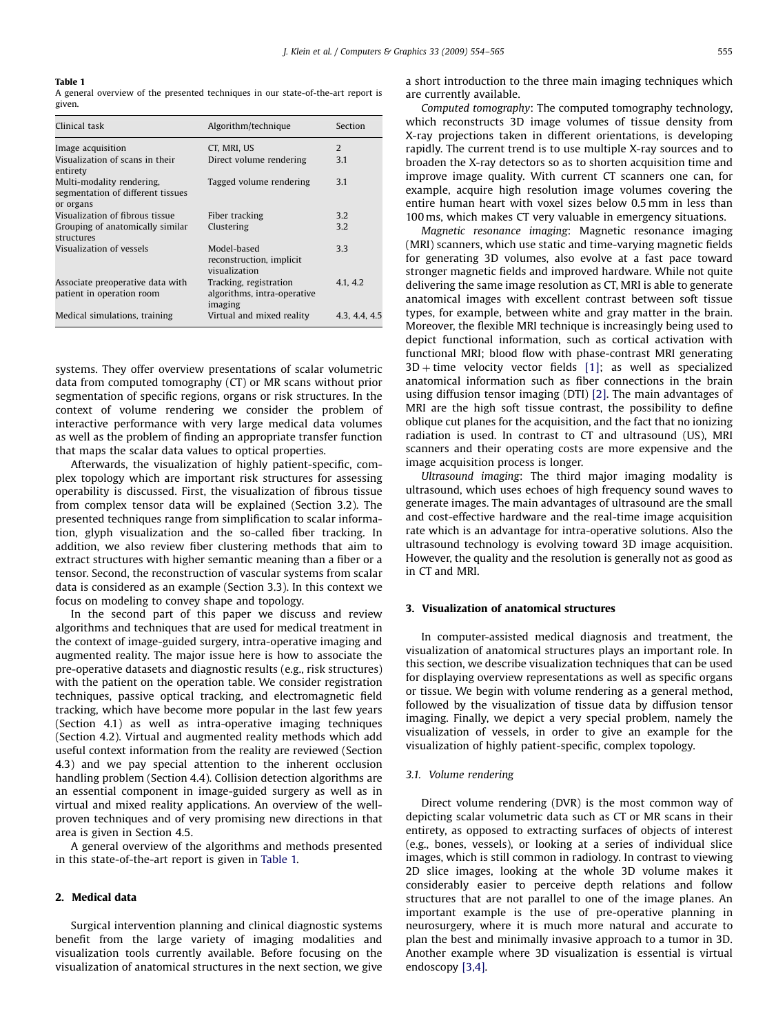### Table 1

A general overview of the presented techniques in our state-of-the-art report is given.

| Clinical task                                                               | Algorithm/technique                                              | Section     |
|-----------------------------------------------------------------------------|------------------------------------------------------------------|-------------|
| Image acquisition                                                           | CT, MRI, US                                                      | 2           |
| Visualization of scans in their<br>entirety                                 | Direct volume rendering                                          | 3.1         |
| Multi-modality rendering,<br>segmentation of different tissues<br>or organs | Tagged volume rendering                                          | 3.1         |
| Visualization of fibrous tissue                                             | Fiber tracking                                                   | 3.2         |
| Grouping of anatomically similar<br>structures                              | Clustering                                                       | 3.2         |
| Visualization of vessels                                                    | Model-based<br>reconstruction, implicit<br>visualization         | 3.3         |
| Associate preoperative data with<br>patient in operation room               | Tracking, registration<br>algorithms, intra-operative<br>imaging | 4.1, 4.2    |
| Medical simulations, training                                               | Virtual and mixed reality                                        | 4.3.4.4.4.5 |

systems. They offer overview presentations of scalar volumetric data from computed tomography (CT) or MR scans without prior segmentation of specific regions, organs or risk structures. In the context of volume rendering we consider the problem of interactive performance with very large medical data volumes as well as the problem of finding an appropriate transfer function that maps the scalar data values to optical properties.

Afterwards, the visualization of highly patient-specific, complex topology which are important risk structures for assessing operability is discussed. First, the visualization of fibrous tissue from complex tensor data will be explained (Section 3.2). The presented techniques range from simplification to scalar information, glyph visualization and the so-called fiber tracking. In addition, we also review fiber clustering methods that aim to extract structures with higher semantic meaning than a fiber or a tensor. Second, the reconstruction of vascular systems from scalar data is considered as an example (Section 3.3). In this context we focus on modeling to convey shape and topology.

In the second part of this paper we discuss and review algorithms and techniques that are used for medical treatment in the context of image-guided surgery, intra-operative imaging and augmented reality. The major issue here is how to associate the pre-operative datasets and diagnostic results (e.g., risk structures) with the patient on the operation table. We consider registration techniques, passive optical tracking, and electromagnetic field tracking, which have become more popular in the last few years (Section 4.1) as well as intra-operative imaging techniques (Section 4.2). Virtual and augmented reality methods which add useful context information from the reality are reviewed (Section 4.3) and we pay special attention to the inherent occlusion handling problem (Section 4.4). Collision detection algorithms are an essential component in image-guided surgery as well as in virtual and mixed reality applications. An overview of the wellproven techniques and of very promising new directions in that area is given in Section 4.5.

A general overview of the algorithms and methods presented in this state-of-the-art report is given in Table 1.

# 2. Medical data

Surgical intervention planning and clinical diagnostic systems benefit from the large variety of imaging modalities and visualization tools currently available. Before focusing on the visualization of anatomical structures in the next section, we give a short introduction to the three main imaging techniques which are currently available.

Computed tomography: The computed tomography technology, which reconstructs 3D image volumes of tissue density from X-ray projections taken in different orientations, is developing rapidly. The current trend is to use multiple X-ray sources and to broaden the X-ray detectors so as to shorten acquisition time and improve image quality. With current CT scanners one can, for example, acquire high resolution image volumes covering the entire human heart with voxel sizes below 0.5 mm in less than 100 ms, which makes CT very valuable in emergency situations.

Magnetic resonance imaging: Magnetic resonance imaging (MRI) scanners, which use static and time-varying magnetic fields for generating 3D volumes, also evolve at a fast pace toward stronger magnetic fields and improved hardware. While not quite delivering the same image resolution as CT, MRI is able to generate anatomical images with excellent contrast between soft tissue types, for example, between white and gray matter in the brain. Moreover, the flexible MRI technique is increasingly being used to depict functional information, such as cortical activation with functional MRI; blood flow with phase-contrast MRI generating  $3D + time$  velocity vector fields [\[1\]](#page-9-0); as well as specialized anatomical information such as fiber connections in the brain using diffusion tensor imaging (DTI) [\[2\].](#page-9-0) The main advantages of MRI are the high soft tissue contrast, the possibility to define oblique cut planes for the acquisition, and the fact that no ionizing radiation is used. In contrast to CT and ultrasound (US), MRI scanners and their operating costs are more expensive and the image acquisition process is longer.

Ultrasound imaging: The third major imaging modality is ultrasound, which uses echoes of high frequency sound waves to generate images. The main advantages of ultrasound are the small and cost-effective hardware and the real-time image acquisition rate which is an advantage for intra-operative solutions. Also the ultrasound technology is evolving toward 3D image acquisition. However, the quality and the resolution is generally not as good as in CT and MRI.

# 3. Visualization of anatomical structures

In computer-assisted medical diagnosis and treatment, the visualization of anatomical structures plays an important role. In this section, we describe visualization techniques that can be used for displaying overview representations as well as specific organs or tissue. We begin with volume rendering as a general method, followed by the visualization of tissue data by diffusion tensor imaging. Finally, we depict a very special problem, namely the visualization of vessels, in order to give an example for the visualization of highly patient-specific, complex topology.

#### 3.1. Volume rendering

Direct volume rendering (DVR) is the most common way of depicting scalar volumetric data such as CT or MR scans in their entirety, as opposed to extracting surfaces of objects of interest (e.g., bones, vessels), or looking at a series of individual slice images, which is still common in radiology. In contrast to viewing 2D slice images, looking at the whole 3D volume makes it considerably easier to perceive depth relations and follow structures that are not parallel to one of the image planes. An important example is the use of pre-operative planning in neurosurgery, where it is much more natural and accurate to plan the best and minimally invasive approach to a tumor in 3D. Another example where 3D visualization is essential is virtual endoscopy [\[3,4\]](#page-9-0).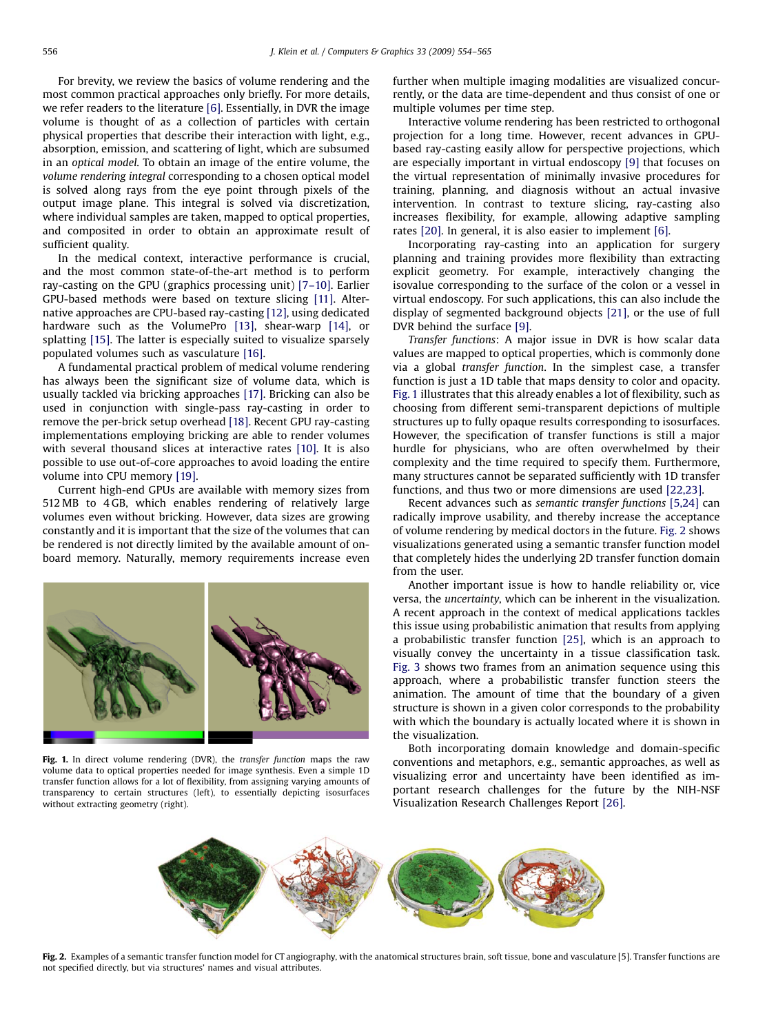For brevity, we review the basics of volume rendering and the most common practical approaches only briefly. For more details, we refer readers to the literature [\[6\]](#page-9-0). Essentially, in DVR the image volume is thought of as a collection of particles with certain physical properties that describe their interaction with light, e.g., absorption, emission, and scattering of light, which are subsumed in an optical model. To obtain an image of the entire volume, the volume rendering integral corresponding to a chosen optical model is solved along rays from the eye point through pixels of the output image plane. This integral is solved via discretization, where individual samples are taken, mapped to optical properties, and composited in order to obtain an approximate result of sufficient quality.

In the medical context, interactive performance is crucial, and the most common state-of-the-art method is to perform ray-casting on the GPU (graphics processing unit) [\[7–10\].](#page-9-0) Earlier GPU-based methods were based on texture slicing [\[11\].](#page-9-0) Alternative approaches are CPU-based ray-casting [\[12\]](#page-9-0), using dedicated hardware such as the VolumePro [\[13\]](#page-9-0), shear-warp [\[14\],](#page-9-0) or splatting [\[15\]](#page-10-0). The latter is especially suited to visualize sparsely populated volumes such as vasculature [\[16\].](#page-10-0)

A fundamental practical problem of medical volume rendering has always been the significant size of volume data, which is usually tackled via bricking approaches [\[17\]](#page-10-0). Bricking can also be used in conjunction with single-pass ray-casting in order to remove the per-brick setup overhead [\[18\].](#page-10-0) Recent GPU ray-casting implementations employing bricking are able to render volumes with several thousand slices at interactive rates [\[10\].](#page-9-0) It is also possible to use out-of-core approaches to avoid loading the entire volume into CPU memory [\[19\]](#page-10-0).

Current high-end GPUs are available with memory sizes from 512 MB to 4 GB, which enables rendering of relatively large volumes even without bricking. However, data sizes are growing constantly and it is important that the size of the volumes that can be rendered is not directly limited by the available amount of onboard memory. Naturally, memory requirements increase even



Fig. 1. In direct volume rendering (DVR), the transfer function maps the raw volume data to optical properties needed for image synthesis. Even a simple 1D transfer function allows for a lot of flexibility, from assigning varying amounts of transparency to certain structures (left), to essentially depicting isosurfaces without extracting geometry (right).

further when multiple imaging modalities are visualized concurrently, or the data are time-dependent and thus consist of one or multiple volumes per time step.

Interactive volume rendering has been restricted to orthogonal projection for a long time. However, recent advances in GPUbased ray-casting easily allow for perspective projections, which are especially important in virtual endoscopy [\[9\]](#page-9-0) that focuses on the virtual representation of minimally invasive procedures for training, planning, and diagnosis without an actual invasive intervention. In contrast to texture slicing, ray-casting also increases flexibility, for example, allowing adaptive sampling rates [\[20\].](#page-10-0) In general, it is also easier to implement [\[6\]](#page-9-0).

Incorporating ray-casting into an application for surgery planning and training provides more flexibility than extracting explicit geometry. For example, interactively changing the isovalue corresponding to the surface of the colon or a vessel in virtual endoscopy. For such applications, this can also include the display of segmented background objects [\[21\]](#page-10-0), or the use of full DVR behind the surface [\[9\]](#page-9-0).

Transfer functions: A major issue in DVR is how scalar data values are mapped to optical properties, which is commonly done via a global transfer function. In the simplest case, a transfer function is just a 1D table that maps density to color and opacity. Fig. 1 illustrates that this already enables a lot of flexibility, such as choosing from different semi-transparent depictions of multiple structures up to fully opaque results corresponding to isosurfaces. However, the specification of transfer functions is still a major hurdle for physicians, who are often overwhelmed by their complexity and the time required to specify them. Furthermore, many structures cannot be separated sufficiently with 1D transfer functions, and thus two or more dimensions are used [\[22,23\].](#page-10-0)

Recent advances such as semantic transfer functions [\[5,24\]](#page-9-0) can radically improve usability, and thereby increase the acceptance of volume rendering by medical doctors in the future. Fig. 2 shows visualizations generated using a semantic transfer function model that completely hides the underlying 2D transfer function domain from the user.

Another important issue is how to handle reliability or, vice versa, the uncertainty, which can be inherent in the visualization. A recent approach in the context of medical applications tackles this issue using probabilistic animation that results from applying a probabilistic transfer function [\[25\],](#page-10-0) which is an approach to visually convey the uncertainty in a tissue classification task. [Fig. 3](#page-3-0) shows two frames from an animation sequence using this approach, where a probabilistic transfer function steers the animation. The amount of time that the boundary of a given structure is shown in a given color corresponds to the probability with which the boundary is actually located where it is shown in the visualization.

Both incorporating domain knowledge and domain-specific conventions and metaphors, e.g., semantic approaches, as well as visualizing error and uncertainty have been identified as important research challenges for the future by the NIH-NSF Visualization Research Challenges Report [\[26\]](#page-10-0).



Fig. 2. Examples of a semantic transfer function model for CT angiography, with the anatomical structures brain, soft tissue, bone and vasculature [\[5\]](#page-9-0). Transfer functions are not specified directly, but via structures' names and visual attributes.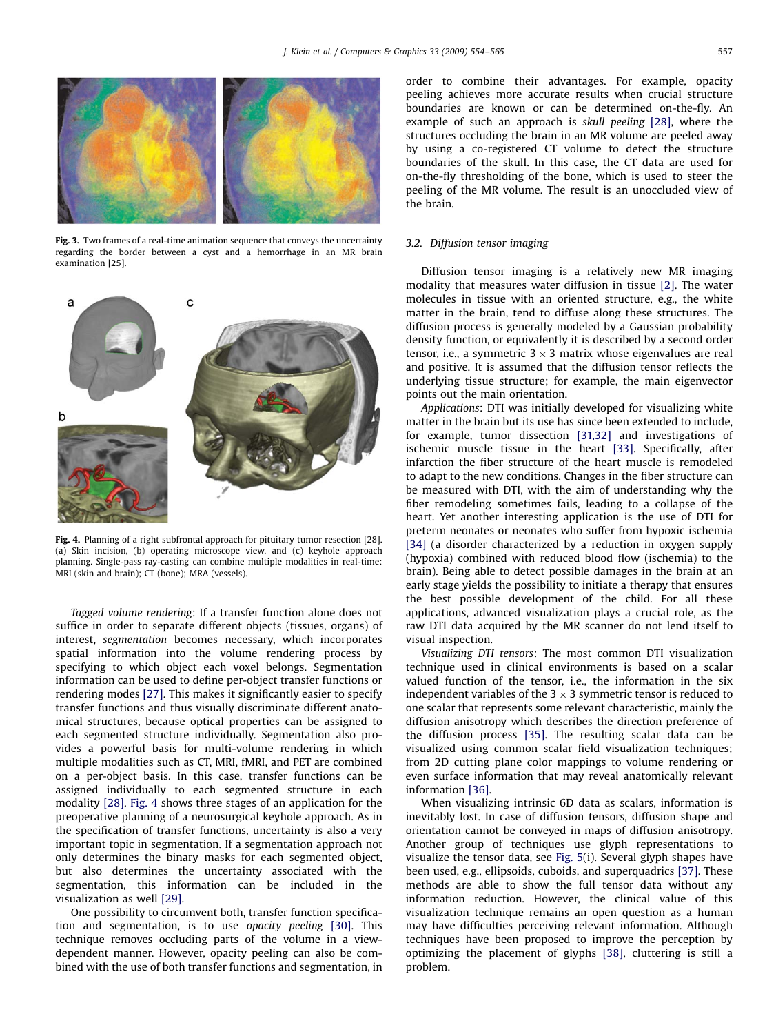<span id="page-3-0"></span>

Fig. 3. Two frames of a real-time animation sequence that conveys the uncertainty regarding the border between a cyst and a hemorrhage in an MR brain examination [\[25\].](#page-10-0)



Fig. 4. Planning of a right subfrontal approach for pituitary tumor resection [\[28\].](#page-10-0) (a) Skin incision, (b) operating microscope view, and (c) keyhole approach planning. Single-pass ray-casting can combine multiple modalities in real-time: MRI (skin and brain); CT (bone); MRA (vessels).

Tagged volume rendering: If a transfer function alone does not suffice in order to separate different objects (tissues, organs) of interest, segmentation becomes necessary, which incorporates spatial information into the volume rendering process by specifying to which object each voxel belongs. Segmentation information can be used to define per-object transfer functions or rendering modes [\[27\]](#page-10-0). This makes it significantly easier to specify transfer functions and thus visually discriminate different anatomical structures, because optical properties can be assigned to each segmented structure individually. Segmentation also provides a powerful basis for multi-volume rendering in which multiple modalities such as CT, MRI, fMRI, and PET are combined on a per-object basis. In this case, transfer functions can be assigned individually to each segmented structure in each modality [\[28\]](#page-10-0). Fig. 4 shows three stages of an application for the preoperative planning of a neurosurgical keyhole approach. As in the specification of transfer functions, uncertainty is also a very important topic in segmentation. If a segmentation approach not only determines the binary masks for each segmented object, but also determines the uncertainty associated with the segmentation, this information can be included in the visualization as well [\[29\].](#page-10-0)

One possibility to circumvent both, transfer function specification and segmentation, is to use opacity peeling [\[30\].](#page-10-0) This technique removes occluding parts of the volume in a viewdependent manner. However, opacity peeling can also be combined with the use of both transfer functions and segmentation, in order to combine their advantages. For example, opacity peeling achieves more accurate results when crucial structure boundaries are known or can be determined on-the-fly. An example of such an approach is skull peeling [\[28\]](#page-10-0), where the structures occluding the brain in an MR volume are peeled away by using a co-registered CT volume to detect the structure boundaries of the skull. In this case, the CT data are used for on-the-fly thresholding of the bone, which is used to steer the peeling of the MR volume. The result is an unoccluded view of the brain.

#### 3.2. Diffusion tensor imaging

Diffusion tensor imaging is a relatively new MR imaging modality that measures water diffusion in tissue [\[2\].](#page-9-0) The water molecules in tissue with an oriented structure, e.g., the white matter in the brain, tend to diffuse along these structures. The diffusion process is generally modeled by a Gaussian probability density function, or equivalently it is described by a second order tensor, i.e., a symmetric  $3 \times 3$  matrix whose eigenvalues are real and positive. It is assumed that the diffusion tensor reflects the underlying tissue structure; for example, the main eigenvector points out the main orientation.

Applications: DTI was initially developed for visualizing white matter in the brain but its use has since been extended to include, for example, tumor dissection [\[31,32\]](#page-10-0) and investigations of ischemic muscle tissue in the heart [\[33\]](#page-10-0). Specifically, after infarction the fiber structure of the heart muscle is remodeled to adapt to the new conditions. Changes in the fiber structure can be measured with DTI, with the aim of understanding why the fiber remodeling sometimes fails, leading to a collapse of the heart. Yet another interesting application is the use of DTI for preterm neonates or neonates who suffer from hypoxic ischemia [\[34\]](#page-10-0) (a disorder characterized by a reduction in oxygen supply (hypoxia) combined with reduced blood flow (ischemia) to the brain). Being able to detect possible damages in the brain at an early stage yields the possibility to initiate a therapy that ensures the best possible development of the child. For all these applications, advanced visualization plays a crucial role, as the raw DTI data acquired by the MR scanner do not lend itself to visual inspection.

Visualizing DTI tensors: The most common DTI visualization technique used in clinical environments is based on a scalar valued function of the tensor, i.e., the information in the six independent variables of the 3  $\times$  3 symmetric tensor is reduced to one scalar that represents some relevant characteristic, mainly the diffusion anisotropy which describes the direction preference of the diffusion process [\[35\]](#page-10-0). The resulting scalar data can be visualized using common scalar field visualization techniques; from 2D cutting plane color mappings to volume rendering or even surface information that may reveal anatomically relevant information [\[36\]](#page-10-0).

When visualizing intrinsic 6D data as scalars, information is inevitably lost. In case of diffusion tensors, diffusion shape and orientation cannot be conveyed in maps of diffusion anisotropy. Another group of techniques use glyph representations to visualize the tensor data, see [Fig. 5\(](#page-4-0)i). Several glyph shapes have been used, e.g., ellipsoids, cuboids, and superquadrics [\[37\].](#page-10-0) These methods are able to show the full tensor data without any information reduction. However, the clinical value of this visualization technique remains an open question as a human may have difficulties perceiving relevant information. Although techniques have been proposed to improve the perception by optimizing the placement of glyphs [\[38\],](#page-10-0) cluttering is still a problem.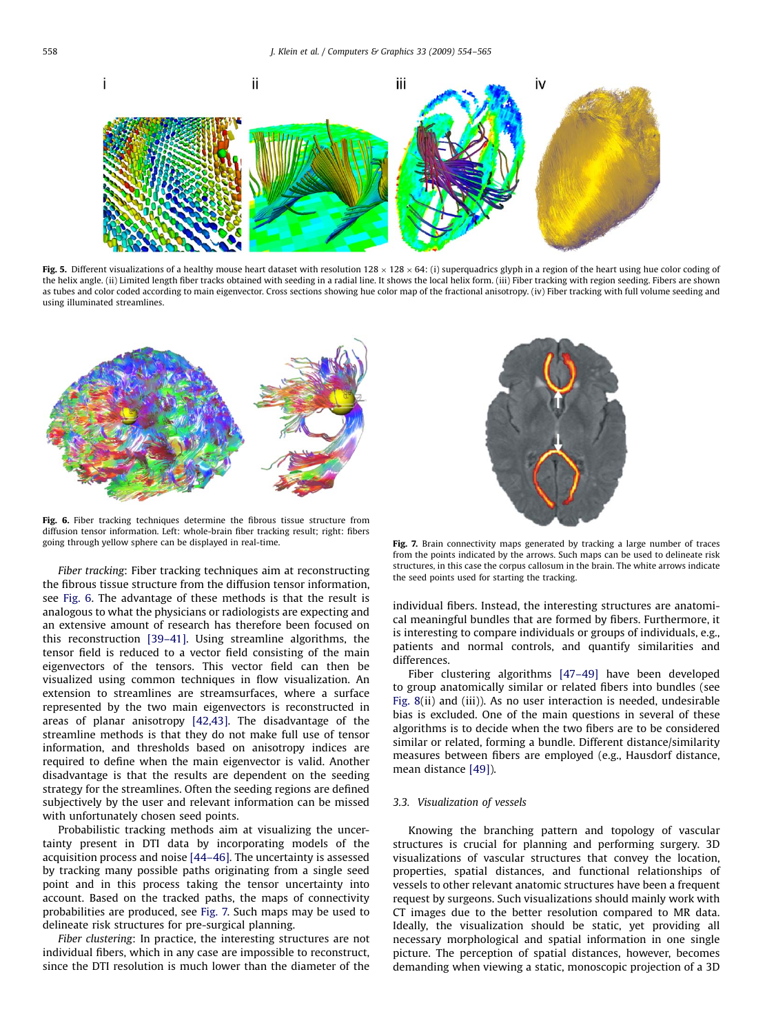<span id="page-4-0"></span>

**Fig. 5.** Different visualizations of a healthy mouse heart dataset with resolution  $128 \times 128 \times 64$ : (i) superquadrics glyph in a region of the heart using hue color coding of the helix angle. (ii) Limited length fiber tracks obtained with seeding in a radial line. It shows the local helix form. (iii) Fiber tracking with region seeding. Fibers are shown as tubes and color coded according to main eigenvector. Cross sections showing hue color map of the fractional anisotropy. (iv) Fiber tracking with full volume seeding and using illuminated streamlines.



Fig. 6. Fiber tracking techniques determine the fibrous tissue structure from diffusion tensor information. Left: whole-brain fiber tracking result; right: fibers

Fiber tracking: Fiber tracking techniques aim at reconstructing the fibrous tissue structure from the diffusion tensor information, see Fig. 6. The advantage of these methods is that the result is analogous to what the physicians or radiologists are expecting and an extensive amount of research has therefore been focused on this reconstruction [\[39–41\].](#page-10-0) Using streamline algorithms, the tensor field is reduced to a vector field consisting of the main eigenvectors of the tensors. This vector field can then be visualized using common techniques in flow visualization. An extension to streamlines are streamsurfaces, where a surface represented by the two main eigenvectors is reconstructed in areas of planar anisotropy [\[42,43\].](#page-10-0) The disadvantage of the streamline methods is that they do not make full use of tensor information, and thresholds based on anisotropy indices are required to define when the main eigenvector is valid. Another disadvantage is that the results are dependent on the seeding strategy for the streamlines. Often the seeding regions are defined subjectively by the user and relevant information can be missed with unfortunately chosen seed points.

Probabilistic tracking methods aim at visualizing the uncertainty present in DTI data by incorporating models of the acquisition process and noise [\[44–46\]](#page-10-0). The uncertainty is assessed by tracking many possible paths originating from a single seed point and in this process taking the tensor uncertainty into account. Based on the tracked paths, the maps of connectivity probabilities are produced, see Fig. 7. Such maps may be used to delineate risk structures for pre-surgical planning.

Fiber clustering: In practice, the interesting structures are not individual fibers, which in any case are impossible to reconstruct, since the DTI resolution is much lower than the diameter of the



going through yellow sphere can be displayed in real-time. Fig. 7. Brain connectivity maps generated by tracking a large number of traces from the points indicated by the arrows. Such maps can be used to delineate risk structures, in this case the corpus callosum in the brain. The white arrows indicate the seed points used for starting the tracking.

individual fibers. Instead, the interesting structures are anatomical meaningful bundles that are formed by fibers. Furthermore, it is interesting to compare individuals or groups of individuals, e.g., patients and normal controls, and quantify similarities and differences.

Fiber clustering algorithms [\[47–49\]](#page-10-0) have been developed to group anatomically similar or related fibers into bundles (see [Fig. 8\(](#page-5-0)ii) and (iii)). As no user interaction is needed, undesirable bias is excluded. One of the main questions in several of these algorithms is to decide when the two fibers are to be considered similar or related, forming a bundle. Different distance/similarity measures between fibers are employed (e.g., Hausdorf distance, mean distance [\[49\]](#page-10-0)).

#### 3.3. Visualization of vessels

Knowing the branching pattern and topology of vascular structures is crucial for planning and performing surgery. 3D visualizations of vascular structures that convey the location, properties, spatial distances, and functional relationships of vessels to other relevant anatomic structures have been a frequent request by surgeons. Such visualizations should mainly work with CT images due to the better resolution compared to MR data. Ideally, the visualization should be static, yet providing all necessary morphological and spatial information in one single picture. The perception of spatial distances, however, becomes demanding when viewing a static, monoscopic projection of a 3D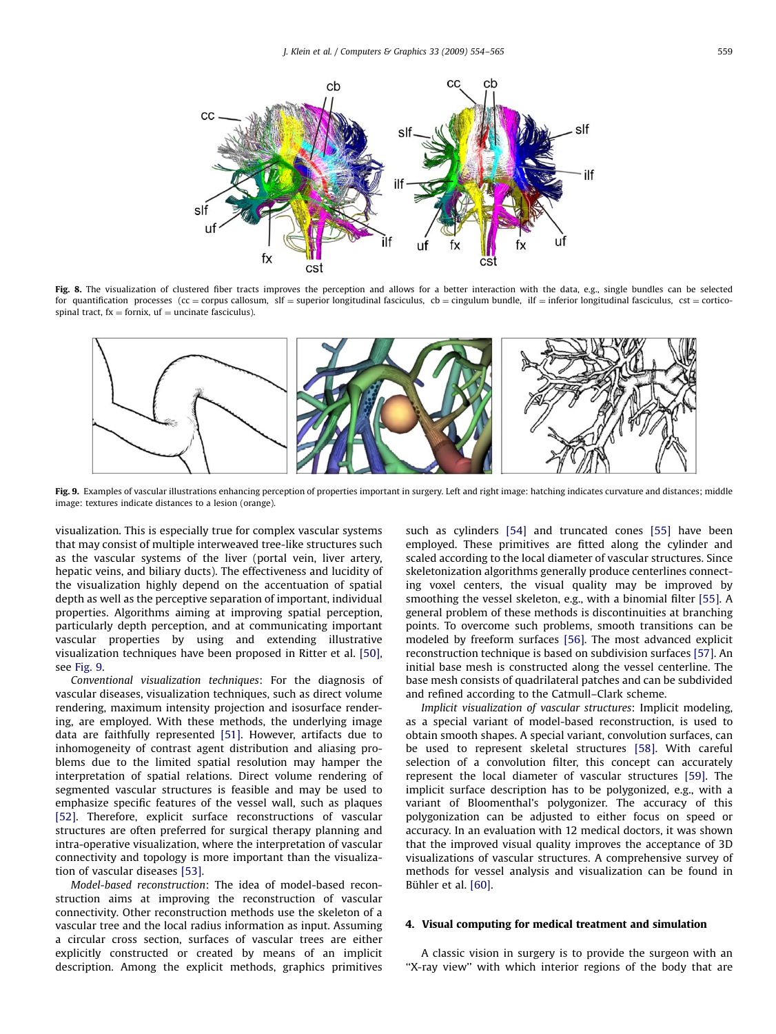<span id="page-5-0"></span>

Fig. 8. The visualization of clustered fiber tracts improves the perception and allows for a better interaction with the data, e.g., single bundles can be selected for quantification processes (cc = corpus callosum, slf = superior longitudinal fasciculus, cb = cingulum bundle, ilf = inferior longitudinal fasciculus, cst = corticospinal tract,  $fx = \text{fornix}, uf = \text{uncinate faciculus}.$ 



Fig. 9. Examples of vascular illustrations enhancing perception of properties important in surgery. Left and right image: hatching indicates curvature and distances; middle image: textures indicate distances to a lesion (orange).

visualization. This is especially true for complex vascular systems that may consist of multiple interweaved tree-like structures such as the vascular systems of the liver (portal vein, liver artery, hepatic veins, and biliary ducts). The effectiveness and lucidity of the visualization highly depend on the accentuation of spatial depth as well as the perceptive separation of important, individual properties. Algorithms aiming at improving spatial perception, particularly depth perception, and at communicating important vascular properties by using and extending illustrative visualization techniques have been proposed in Ritter et al. [\[50\],](#page-10-0) see Fig. 9.

Conventional visualization techniques: For the diagnosis of vascular diseases, visualization techniques, such as direct volume rendering, maximum intensity projection and isosurface rendering, are employed. With these methods, the underlying image data are faithfully represented [\[51\].](#page-10-0) However, artifacts due to inhomogeneity of contrast agent distribution and aliasing problems due to the limited spatial resolution may hamper the interpretation of spatial relations. Direct volume rendering of segmented vascular structures is feasible and may be used to emphasize specific features of the vessel wall, such as plaques [\[52\]](#page-10-0). Therefore, explicit surface reconstructions of vascular structures are often preferred for surgical therapy planning and intra-operative visualization, where the interpretation of vascular connectivity and topology is more important than the visualization of vascular diseases [\[53\].](#page-10-0)

Model-based reconstruction: The idea of model-based reconstruction aims at improving the reconstruction of vascular connectivity. Other reconstruction methods use the skeleton of a vascular tree and the local radius information as input. Assuming a circular cross section, surfaces of vascular trees are either explicitly constructed or created by means of an implicit description. Among the explicit methods, graphics primitives

such as cylinders [\[54\]](#page-10-0) and truncated cones [\[55\]](#page-10-0) have been employed. These primitives are fitted along the cylinder and scaled according to the local diameter of vascular structures. Since skeletonization algorithms generally produce centerlines connecting voxel centers, the visual quality may be improved by smoothing the vessel skeleton, e.g., with a binomial filter [\[55\]](#page-10-0). A general problem of these methods is discontinuities at branching points. To overcome such problems, smooth transitions can be modeled by freeform surfaces [\[56\].](#page-10-0) The most advanced explicit reconstruction technique is based on subdivision surfaces [\[57\]](#page-10-0). An initial base mesh is constructed along the vessel centerline. The base mesh consists of quadrilateral patches and can be subdivided and refined according to the Catmull–Clark scheme.

Implicit visualization of vascular structures: Implicit modeling, as a special variant of model-based reconstruction, is used to obtain smooth shapes. A special variant, convolution surfaces, can be used to represent skeletal structures [\[58\].](#page-10-0) With careful selection of a convolution filter, this concept can accurately represent the local diameter of vascular structures [\[59\]](#page-10-0). The implicit surface description has to be polygonized, e.g., with a variant of Bloomenthal's polygonizer. The accuracy of this polygonization can be adjusted to either focus on speed or accuracy. In an evaluation with 12 medical doctors, it was shown that the improved visual quality improves the acceptance of 3D visualizations of vascular structures. A comprehensive survey of methods for vessel analysis and visualization can be found in Bühler et al. [\[60\].](#page-10-0)

# 4. Visual computing for medical treatment and simulation

A classic vision in surgery is to provide the surgeon with an "X-ray view" with which interior regions of the body that are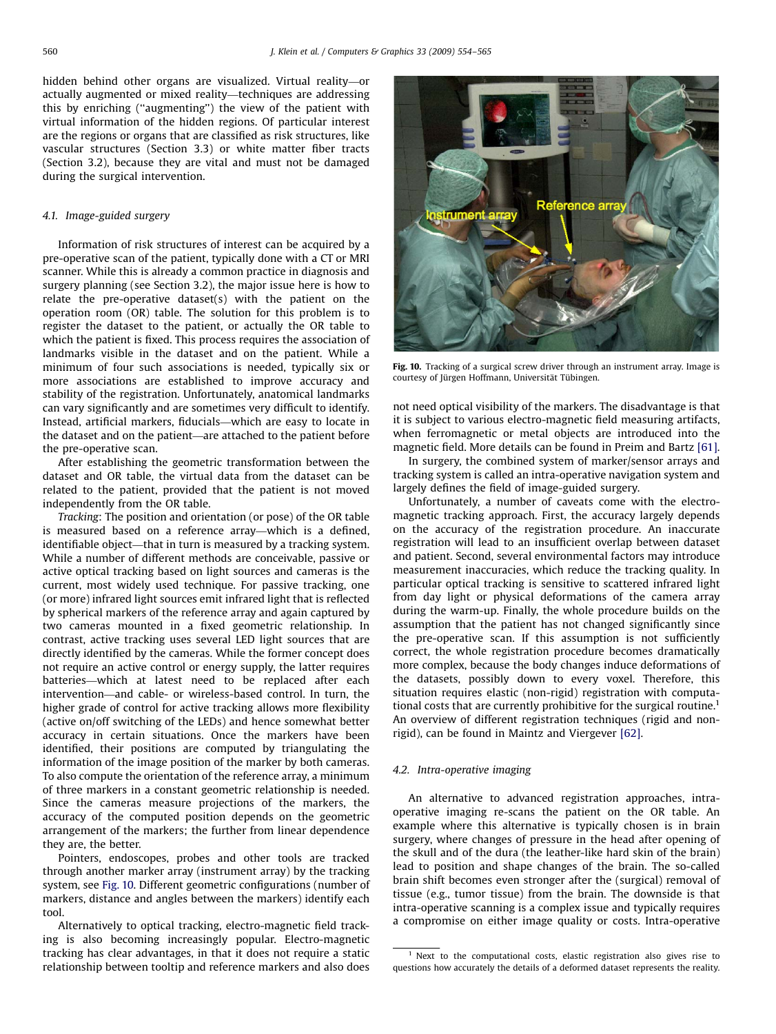hidden behind other organs are visualized. Virtual reality—or actually augmented or mixed reality—techniques are addressing this by enriching (''augmenting'') the view of the patient with virtual information of the hidden regions. Of particular interest are the regions or organs that are classified as risk structures, like vascular structures (Section 3.3) or white matter fiber tracts (Section 3.2), because they are vital and must not be damaged during the surgical intervention.

#### 4.1. Image-guided surgery

Information of risk structures of interest can be acquired by a pre-operative scan of the patient, typically done with a CT or MRI scanner. While this is already a common practice in diagnosis and surgery planning (see Section 3.2), the major issue here is how to relate the pre-operative dataset(s) with the patient on the operation room (OR) table. The solution for this problem is to register the dataset to the patient, or actually the OR table to which the patient is fixed. This process requires the association of landmarks visible in the dataset and on the patient. While a minimum of four such associations is needed, typically six or more associations are established to improve accuracy and stability of the registration. Unfortunately, anatomical landmarks can vary significantly and are sometimes very difficult to identify. Instead, artificial markers, fiducials—which are easy to locate in the dataset and on the patient—are attached to the patient before the pre-operative scan.

After establishing the geometric transformation between the dataset and OR table, the virtual data from the dataset can be related to the patient, provided that the patient is not moved independently from the OR table.

Tracking: The position and orientation (or pose) of the OR table is measured based on a reference array—which is a defined, identifiable object—that in turn is measured by a tracking system. While a number of different methods are conceivable, passive or active optical tracking based on light sources and cameras is the current, most widely used technique. For passive tracking, one (or more) infrared light sources emit infrared light that is reflected by spherical markers of the reference array and again captured by two cameras mounted in a fixed geometric relationship. In contrast, active tracking uses several LED light sources that are directly identified by the cameras. While the former concept does not require an active control or energy supply, the latter requires batteries—which at latest need to be replaced after each intervention—and cable- or wireless-based control. In turn, the higher grade of control for active tracking allows more flexibility (active on/off switching of the LEDs) and hence somewhat better accuracy in certain situations. Once the markers have been identified, their positions are computed by triangulating the information of the image position of the marker by both cameras. To also compute the orientation of the reference array, a minimum of three markers in a constant geometric relationship is needed. Since the cameras measure projections of the markers, the accuracy of the computed position depends on the geometric arrangement of the markers; the further from linear dependence they are, the better.

Pointers, endoscopes, probes and other tools are tracked through another marker array (instrument array) by the tracking system, see Fig. 10. Different geometric configurations (number of markers, distance and angles between the markers) identify each tool.

Alternatively to optical tracking, electro-magnetic field tracking is also becoming increasingly popular. Electro-magnetic tracking has clear advantages, in that it does not require a static relationship between tooltip and reference markers and also does

nce arra trument a

Fig. 10. Tracking of a surgical screw driver through an instrument array. Image is courtesy of Jürgen Hoffmann, Universität Tübingen.

not need optical visibility of the markers. The disadvantage is that it is subject to various electro-magnetic field measuring artifacts, when ferromagnetic or metal objects are introduced into the magnetic field. More details can be found in Preim and Bartz [\[61\].](#page-10-0)

In surgery, the combined system of marker/sensor arrays and tracking system is called an intra-operative navigation system and largely defines the field of image-guided surgery.

Unfortunately, a number of caveats come with the electromagnetic tracking approach. First, the accuracy largely depends on the accuracy of the registration procedure. An inaccurate registration will lead to an insufficient overlap between dataset and patient. Second, several environmental factors may introduce measurement inaccuracies, which reduce the tracking quality. In particular optical tracking is sensitive to scattered infrared light from day light or physical deformations of the camera array during the warm-up. Finally, the whole procedure builds on the assumption that the patient has not changed significantly since the pre-operative scan. If this assumption is not sufficiently correct, the whole registration procedure becomes dramatically more complex, because the body changes induce deformations of the datasets, possibly down to every voxel. Therefore, this situation requires elastic (non-rigid) registration with computational costs that are currently prohibitive for the surgical routine.<sup>1</sup> An overview of different registration techniques (rigid and nonrigid), can be found in Maintz and Viergever [\[62\].](#page-10-0)

### 4.2. Intra-operative imaging

An alternative to advanced registration approaches, intraoperative imaging re-scans the patient on the OR table. An example where this alternative is typically chosen is in brain surgery, where changes of pressure in the head after opening of the skull and of the dura (the leather-like hard skin of the brain) lead to position and shape changes of the brain. The so-called brain shift becomes even stronger after the (surgical) removal of tissue (e.g., tumor tissue) from the brain. The downside is that intra-operative scanning is a complex issue and typically requires a compromise on either image quality or costs. Intra-operative

<sup>&</sup>lt;sup>1</sup> Next to the computational costs, elastic registration also gives rise to questions how accurately the details of a deformed dataset represents the reality.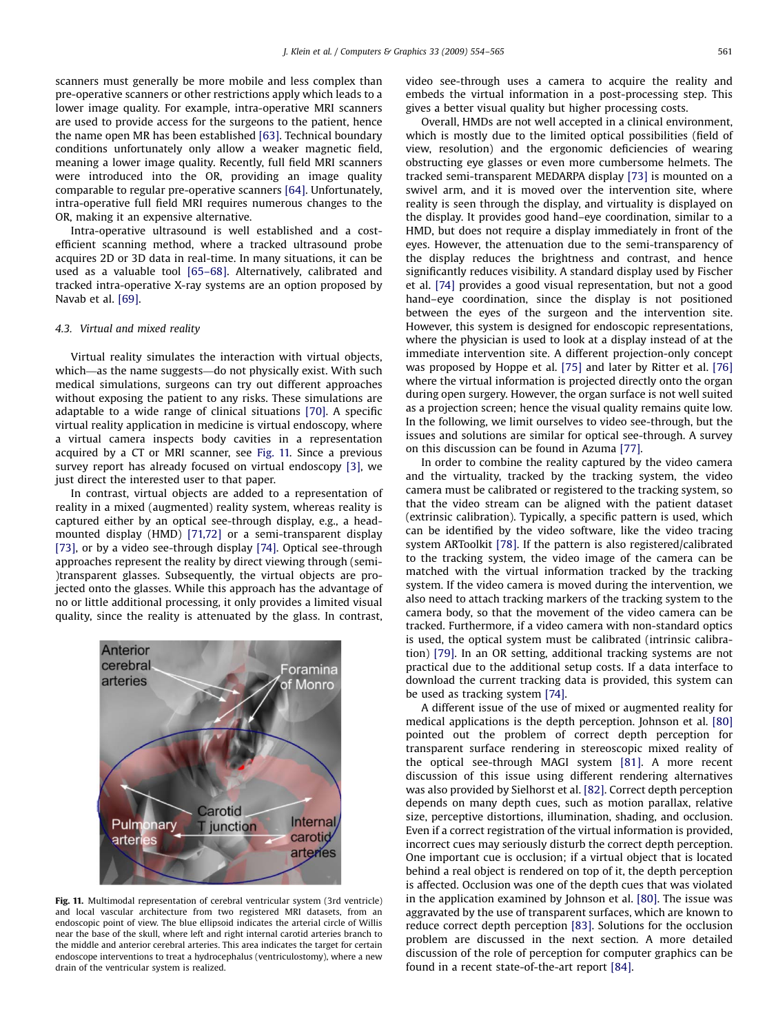scanners must generally be more mobile and less complex than pre-operative scanners or other restrictions apply which leads to a lower image quality. For example, intra-operative MRI scanners are used to provide access for the surgeons to the patient, hence the name open MR has been established [\[63\].](#page-10-0) Technical boundary conditions unfortunately only allow a weaker magnetic field, meaning a lower image quality. Recently, full field MRI scanners were introduced into the OR, providing an image quality comparable to regular pre-operative scanners [\[64\]](#page-10-0). Unfortunately, intra-operative full field MRI requires numerous changes to the OR, making it an expensive alternative.

Intra-operative ultrasound is well established and a costefficient scanning method, where a tracked ultrasound probe acquires 2D or 3D data in real-time. In many situations, it can be used as a valuable tool [\[65–68\]](#page-10-0). Alternatively, calibrated and tracked intra-operative X-ray systems are an option proposed by Navab et al. [\[69\]](#page-10-0).

#### 4.3. Virtual and mixed reality

Virtual reality simulates the interaction with virtual objects, which—as the name suggests—do not physically exist. With such medical simulations, surgeons can try out different approaches without exposing the patient to any risks. These simulations are adaptable to a wide range of clinical situations [\[70\]](#page-10-0). A specific virtual reality application in medicine is virtual endoscopy, where a virtual camera inspects body cavities in a representation acquired by a CT or MRI scanner, see Fig. 11. Since a previous survey report has already focused on virtual endoscopy [\[3\],](#page-9-0) we just direct the interested user to that paper.

In contrast, virtual objects are added to a representation of reality in a mixed (augmented) reality system, whereas reality is captured either by an optical see-through display, e.g., a headmounted display (HMD) [\[71,72\]](#page-10-0) or a semi-transparent display [\[73\]](#page-11-0), or by a video see-through display [\[74\]](#page-11-0). Optical see-through approaches represent the reality by direct viewing through (semi- )transparent glasses. Subsequently, the virtual objects are projected onto the glasses. While this approach has the advantage of no or little additional processing, it only provides a limited visual quality, since the reality is attenuated by the glass. In contrast,



Fig. 11. Multimodal representation of cerebral ventricular system (3rd ventricle) and local vascular architecture from two registered MRI datasets, from an endoscopic point of view. The blue ellipsoid indicates the arterial circle of Willis near the base of the skull, where left and right internal carotid arteries branch to the middle and anterior cerebral arteries. This area indicates the target for certain endoscope interventions to treat a hydrocephalus (ventriculostomy), where a new drain of the ventricular system is realized.

video see-through uses a camera to acquire the reality and embeds the virtual information in a post-processing step. This gives a better visual quality but higher processing costs.

Overall, HMDs are not well accepted in a clinical environment, which is mostly due to the limited optical possibilities (field of view, resolution) and the ergonomic deficiencies of wearing obstructing eye glasses or even more cumbersome helmets. The tracked semi-transparent MEDARPA display [\[73\]](#page-11-0) is mounted on a swivel arm, and it is moved over the intervention site, where reality is seen through the display, and virtuality is displayed on the display. It provides good hand–eye coordination, similar to a HMD, but does not require a display immediately in front of the eyes. However, the attenuation due to the semi-transparency of the display reduces the brightness and contrast, and hence significantly reduces visibility. A standard display used by Fischer et al. [\[74\]](#page-11-0) provides a good visual representation, but not a good hand–eye coordination, since the display is not positioned between the eyes of the surgeon and the intervention site. However, this system is designed for endoscopic representations, where the physician is used to look at a display instead of at the immediate intervention site. A different projection-only concept was proposed by Hoppe et al. [\[75\]](#page-11-0) and later by Ritter et al. [\[76\]](#page-11-0) where the virtual information is projected directly onto the organ during open surgery. However, the organ surface is not well suited as a projection screen; hence the visual quality remains quite low. In the following, we limit ourselves to video see-through, but the issues and solutions are similar for optical see-through. A survey on this discussion can be found in Azuma [\[77\].](#page-11-0)

In order to combine the reality captured by the video camera and the virtuality, tracked by the tracking system, the video camera must be calibrated or registered to the tracking system, so that the video stream can be aligned with the patient dataset (extrinsic calibration). Typically, a specific pattern is used, which can be identified by the video software, like the video tracing system ARToolkit [\[78\].](#page-11-0) If the pattern is also registered/calibrated to the tracking system, the video image of the camera can be matched with the virtual information tracked by the tracking system. If the video camera is moved during the intervention, we also need to attach tracking markers of the tracking system to the camera body, so that the movement of the video camera can be tracked. Furthermore, if a video camera with non-standard optics is used, the optical system must be calibrated (intrinsic calibration) [\[79\].](#page-11-0) In an OR setting, additional tracking systems are not practical due to the additional setup costs. If a data interface to download the current tracking data is provided, this system can be used as tracking system [\[74\].](#page-11-0)

A different issue of the use of mixed or augmented reality for medical applications is the depth perception. Johnson et al. [\[80\]](#page-11-0) pointed out the problem of correct depth perception for transparent surface rendering in stereoscopic mixed reality of the optical see-through MAGI system [\[81\]](#page-11-0). A more recent discussion of this issue using different rendering alternatives was also provided by Sielhorst et al. [\[82\].](#page-11-0) Correct depth perception depends on many depth cues, such as motion parallax, relative size, perceptive distortions, illumination, shading, and occlusion. Even if a correct registration of the virtual information is provided, incorrect cues may seriously disturb the correct depth perception. One important cue is occlusion; if a virtual object that is located behind a real object is rendered on top of it, the depth perception is affected. Occlusion was one of the depth cues that was violated in the application examined by Johnson et al. [\[80\].](#page-11-0) The issue was aggravated by the use of transparent surfaces, which are known to reduce correct depth perception [\[83\]](#page-11-0). Solutions for the occlusion problem are discussed in the next section. A more detailed discussion of the role of perception for computer graphics can be found in a recent state-of-the-art report [\[84\].](#page-11-0)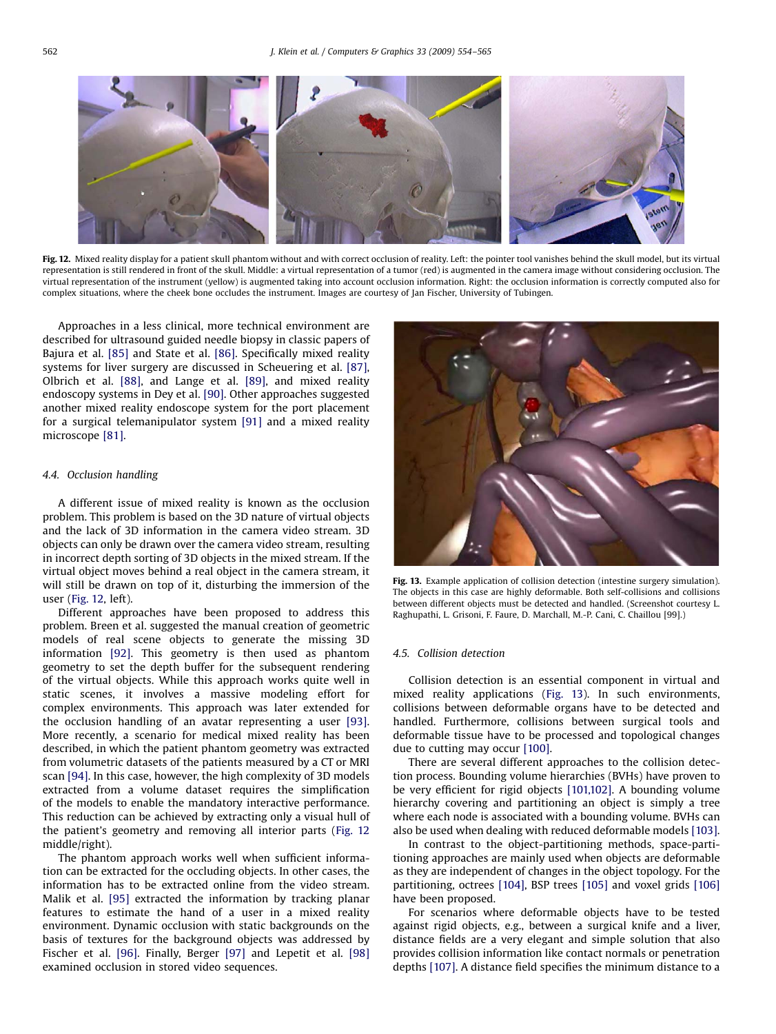

Fig. 12. Mixed reality display for a patient skull phantom without and with correct occlusion of reality. Left: the pointer tool vanishes behind the skull model, but its virtual representation is still rendered in front of the skull. Middle: a virtual representation of a tumor (red) is augmented in the camera image without considering occlusion. The virtual representation of the instrument (yellow) is augmented taking into account occlusion information. Right: the occlusion information is correctly computed also for complex situations, where the cheek bone occludes the instrument. Images are courtesy of Jan Fischer, University of Tubingen.

Approaches in a less clinical, more technical environment are described for ultrasound guided needle biopsy in classic papers of Bajura et al. [\[85\]](#page-11-0) and State et al. [\[86\]](#page-11-0). Specifically mixed reality systems for liver surgery are discussed in Scheuering et al. [\[87\],](#page-11-0) Olbrich et al. [\[88\]](#page-11-0), and Lange et al. [\[89\],](#page-11-0) and mixed reality endoscopy systems in Dey et al. [\[90\].](#page-11-0) Other approaches suggested another mixed reality endoscope system for the port placement for a surgical telemanipulator system [\[91\]](#page-11-0) and a mixed reality microscope [\[81\].](#page-11-0)

### 4.4. Occlusion handling

A different issue of mixed reality is known as the occlusion problem. This problem is based on the 3D nature of virtual objects and the lack of 3D information in the camera video stream. 3D objects can only be drawn over the camera video stream, resulting in incorrect depth sorting of 3D objects in the mixed stream. If the virtual object moves behind a real object in the camera stream, it will still be drawn on top of it, disturbing the immersion of the user (Fig. 12, left).

Different approaches have been proposed to address this problem. Breen et al. suggested the manual creation of geometric models of real scene objects to generate the missing 3D information [\[92\]](#page-11-0). This geometry is then used as phantom geometry to set the depth buffer for the subsequent rendering of the virtual objects. While this approach works quite well in static scenes, it involves a massive modeling effort for complex environments. This approach was later extended for the occlusion handling of an avatar representing a user [\[93\].](#page-11-0) More recently, a scenario for medical mixed reality has been described, in which the patient phantom geometry was extracted from volumetric datasets of the patients measured by a CT or MRI scan [\[94\].](#page-11-0) In this case, however, the high complexity of 3D models extracted from a volume dataset requires the simplification of the models to enable the mandatory interactive performance. This reduction can be achieved by extracting only a visual hull of the patient's geometry and removing all interior parts (Fig. 12 middle/right).

The phantom approach works well when sufficient information can be extracted for the occluding objects. In other cases, the information has to be extracted online from the video stream. Malik et al. [\[95\]](#page-11-0) extracted the information by tracking planar features to estimate the hand of a user in a mixed reality environment. Dynamic occlusion with static backgrounds on the basis of textures for the background objects was addressed by Fischer et al. [\[96\]](#page-11-0). Finally, Berger [\[97\]](#page-11-0) and Lepetit et al. [\[98\]](#page-11-0) examined occlusion in stored video sequences.



Fig. 13. Example application of collision detection (intestine surgery simulation). The objects in this case are highly deformable. Both self-collisions and collisions between different objects must be detected and handled. (Screenshot courtesy L. Raghupathi, L. Grisoni, F. Faure, D. Marchall, M.-P. Cani, C. Chaillou [\[99\]](#page-11-0).)

#### 4.5. Collision detection

Collision detection is an essential component in virtual and mixed reality applications (Fig. 13). In such environments, collisions between deformable organs have to be detected and handled. Furthermore, collisions between surgical tools and deformable tissue have to be processed and topological changes due to cutting may occur [\[100\]](#page-11-0).

There are several different approaches to the collision detection process. Bounding volume hierarchies (BVHs) have proven to be very efficient for rigid objects [\[101,102\].](#page-11-0) A bounding volume hierarchy covering and partitioning an object is simply a tree where each node is associated with a bounding volume. BVHs can also be used when dealing with reduced deformable models [\[103\].](#page-11-0)

In contrast to the object-partitioning methods, space-partitioning approaches are mainly used when objects are deformable as they are independent of changes in the object topology. For the partitioning, octrees [\[104\],](#page-11-0) BSP trees [\[105\]](#page-11-0) and voxel grids [\[106\]](#page-11-0) have been proposed.

For scenarios where deformable objects have to be tested against rigid objects, e.g., between a surgical knife and a liver, distance fields are a very elegant and simple solution that also provides collision information like contact normals or penetration depths [\[107\].](#page-11-0) A distance field specifies the minimum distance to a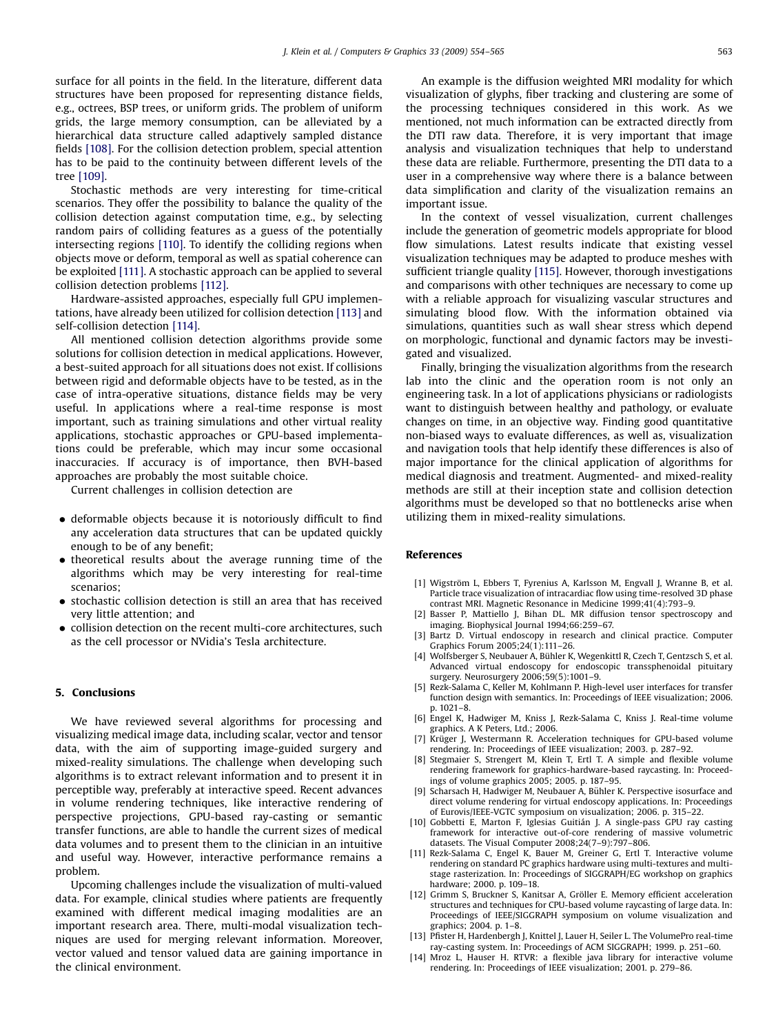<span id="page-9-0"></span>surface for all points in the field. In the literature, different data structures have been proposed for representing distance fields, e.g., octrees, BSP trees, or uniform grids. The problem of uniform grids, the large memory consumption, can be alleviated by a hierarchical data structure called adaptively sampled distance fields [\[108\].](#page-11-0) For the collision detection problem, special attention has to be paid to the continuity between different levels of the tree [\[109\]](#page-11-0).

Stochastic methods are very interesting for time-critical scenarios. They offer the possibility to balance the quality of the collision detection against computation time, e.g., by selecting random pairs of colliding features as a guess of the potentially intersecting regions [\[110\].](#page-11-0) To identify the colliding regions when objects move or deform, temporal as well as spatial coherence can be exploited [\[111\]](#page-11-0). A stochastic approach can be applied to several collision detection problems [\[112\].](#page-11-0)

Hardware-assisted approaches, especially full GPU implementations, have already been utilized for collision detection [\[113\]](#page-11-0) and self-collision detection [\[114\].](#page-11-0)

All mentioned collision detection algorithms provide some solutions for collision detection in medical applications. However, a best-suited approach for all situations does not exist. If collisions between rigid and deformable objects have to be tested, as in the case of intra-operative situations, distance fields may be very useful. In applications where a real-time response is most important, such as training simulations and other virtual reality applications, stochastic approaches or GPU-based implementations could be preferable, which may incur some occasional inaccuracies. If accuracy is of importance, then BVH-based approaches are probably the most suitable choice.

Current challenges in collision detection are

- deformable objects because it is notoriously difficult to find any acceleration data structures that can be updated quickly enough to be of any benefit;
- theoretical results about the average running time of the algorithms which may be very interesting for real-time scenarios;
- stochastic collision detection is still an area that has received very little attention; and
- collision detection on the recent multi-core architectures, such as the cell processor or NVidia's Tesla architecture.

# 5. Conclusions

We have reviewed several algorithms for processing and visualizing medical image data, including scalar, vector and tensor data, with the aim of supporting image-guided surgery and mixed-reality simulations. The challenge when developing such algorithms is to extract relevant information and to present it in perceptible way, preferably at interactive speed. Recent advances in volume rendering techniques, like interactive rendering of perspective projections, GPU-based ray-casting or semantic transfer functions, are able to handle the current sizes of medical data volumes and to present them to the clinician in an intuitive and useful way. However, interactive performance remains a problem.

Upcoming challenges include the visualization of multi-valued data. For example, clinical studies where patients are frequently examined with different medical imaging modalities are an important research area. There, multi-modal visualization techniques are used for merging relevant information. Moreover, vector valued and tensor valued data are gaining importance in the clinical environment.

An example is the diffusion weighted MRI modality for which visualization of glyphs, fiber tracking and clustering are some of the processing techniques considered in this work. As we mentioned, not much information can be extracted directly from the DTI raw data. Therefore, it is very important that image analysis and visualization techniques that help to understand these data are reliable. Furthermore, presenting the DTI data to a user in a comprehensive way where there is a balance between data simplification and clarity of the visualization remains an important issue.

In the context of vessel visualization, current challenges include the generation of geometric models appropriate for blood flow simulations. Latest results indicate that existing vessel visualization techniques may be adapted to produce meshes with sufficient triangle quality [\[115\].](#page-11-0) However, thorough investigations and comparisons with other techniques are necessary to come up with a reliable approach for visualizing vascular structures and simulating blood flow. With the information obtained via simulations, quantities such as wall shear stress which depend on morphologic, functional and dynamic factors may be investigated and visualized.

Finally, bringing the visualization algorithms from the research lab into the clinic and the operation room is not only an engineering task. In a lot of applications physicians or radiologists want to distinguish between healthy and pathology, or evaluate changes on time, in an objective way. Finding good quantitative non-biased ways to evaluate differences, as well as, visualization and navigation tools that help identify these differences is also of major importance for the clinical application of algorithms for medical diagnosis and treatment. Augmented- and mixed-reality methods are still at their inception state and collision detection algorithms must be developed so that no bottlenecks arise when utilizing them in mixed-reality simulations.

#### References

- [1] Wigström L, Ebbers T, Fyrenius A, Karlsson M, Engvall J, Wranne B, et al. Particle trace visualization of intracardiac flow using time-resolved 3D phase contrast MRI. Magnetic Resonance in Medicine 1999;41(4):793–9.
- Basser P, Mattiello J, Bihan DL. MR diffusion tensor spectroscopy and imaging. Biophysical Journal 1994;66:259–67.
- [3] Bartz D. Virtual endoscopy in research and clinical practice. Computer Graphics Forum 2005;24(1):111–26.
- [4] Wolfsberger S, Neubauer A, Bühler K, Wegenkittl R, Czech T, Gentzsch S, et al. Advanced virtual endoscopy for endoscopic transsphenoidal pituitary surgery. Neurosurgery 2006;59(5):1001–9.
- [5] Rezk-Salama C, Keller M, Kohlmann P. High-level user interfaces for transfer function design with semantics. In: Proceedings of IEEE visualization; 2006. p. 1021–8.
- [6] Engel K, Hadwiger M, Kniss J, Rezk-Salama C, Kniss J. Real-time volume graphics. A K Peters, Ltd.; 2006.
- [7] Krüger J, Westermann R. Acceleration techniques for GPU-based volume rendering. In: Proceedings of IEEE visualization; 2003. p. 287–92.
- [8] Stegmaier S, Strengert M, Klein T, Ertl T. A simple and flexible volume rendering framework for graphics-hardware-based raycasting. In: Proceedings of volume graphics 2005; 2005. p. 187–95.
- [9] Scharsach H, Hadwiger M, Neubauer A, Bühler K. Perspective isosurface and direct volume rendering for virtual endoscopy applications. In: Proceedings of Eurovis/IEEE-VGTC symposium on visualization; 2006. p. 315–22.
- [10] Gobbetti E, Marton F, Iglesias Guitián J. A single-pass GPU ray casting framework for interactive out-of-core rendering of massive volumetric datasets. The Visual Computer 2008;24(7–9):797–806.
- [11] Rezk-Salama C, Engel K, Bauer M, Greiner G, Ertl T. Interactive volume rendering on standard PC graphics hardware using multi-textures and multistage rasterization. In: Proceedings of SIGGRAPH/EG workshop on graphics hardware; 2000. p. 109–18.
- [12] Grimm S, Bruckner S, Kanitsar A, Gröller E. Memory efficient acceleration structures and techniques for CPU-based volume raycasting of large data. In: Proceedings of IEEE/SIGGRAPH symposium on volume visualization and graphics; 2004. p. 1–8.
- [13] Pfister H, Hardenbergh J, Knittel J, Lauer H, Seiler L. The VolumePro real-time ray-casting system. In: Proceedings of ACM SIGGRAPH; 1999. p. 251–60.
- [14] Mroz L, Hauser H. RTVR: a flexible java library for interactive volume rendering. In: Proceedings of IEEE visualization; 2001. p. 279–86.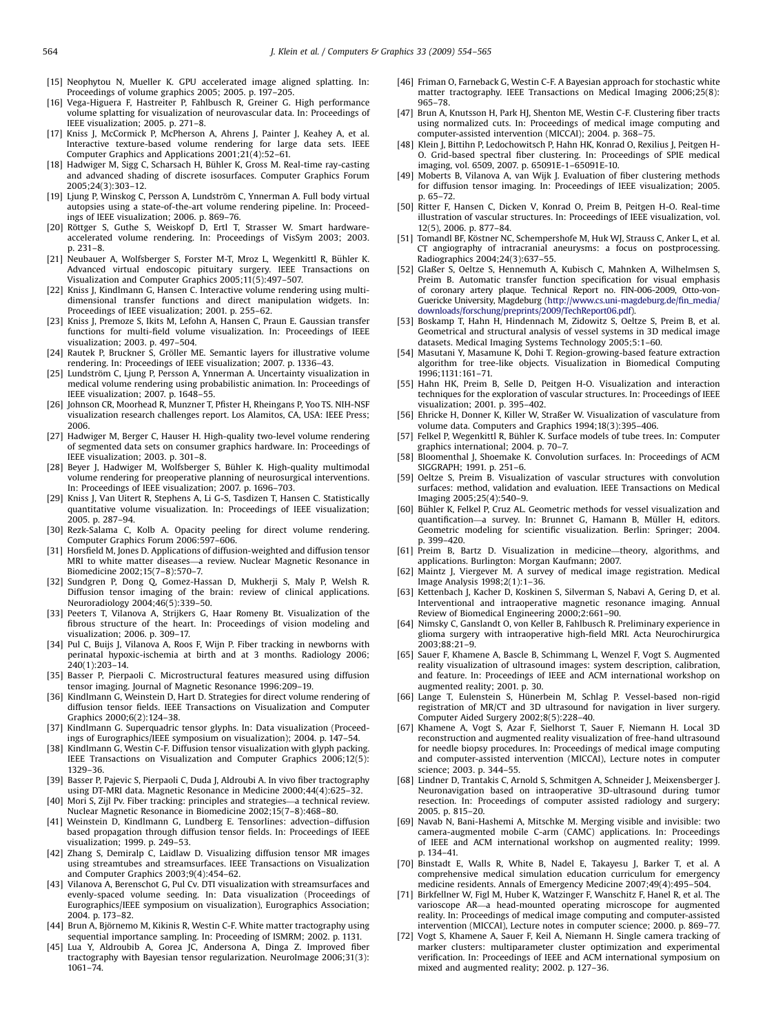- <span id="page-10-0"></span>[15] Neophytou N, Mueller K. GPU accelerated image aligned splatting. In: Proceedings of volume graphics 2005; 2005. p. 197–205.
- [16] Vega-Higuera F, Hastreiter P, Fahlbusch R, Greiner G. High performance volume splatting for visualization of neurovascular data. In: Proceedings of IEEE visualization; 2005. p. 271–8.
- [17] Kniss J, McCormick P, McPherson A, Ahrens J, Painter J, Keahey A, et al. Interactive texture-based volume rendering for large data sets. IEEE Computer Graphics and Applications 2001;21(4):52–61.
- [18] Hadwiger M, Sigg C, Scharsach H, Bühler K, Gross M. Real-time ray-casting and advanced shading of discrete isosurfaces. Computer Graphics Forum 2005;24(3):303–12.
- [19] Ljung P, Winskog C, Persson A, Lundström C, Ynnerman A. Full body virtual autopsies using a state-of-the-art volume rendering pipeline. In: Proceedings of IEEE visualization; 2006. p. 869–76.
- [20] Röttger S, Guthe S, Weiskopf D, Ertl T, Strasser W. Smart hardwareaccelerated volume rendering. In: Proceedings of VisSym 2003; 2003. p. 231–8.
- [21] Neubauer A, Wolfsberger S, Forster M-T, Mroz L, Wegenkittl R, Bühler K. Advanced virtual endoscopic pituitary surgery. IEEE Transactions on Visualization and Computer Graphics 2005;11(5):497–507.
- [22] Kniss J, Kindlmann G, Hansen C. Interactive volume rendering using multidimensional transfer functions and direct manipulation widgets. In: Proceedings of IEEE visualization; 2001. p. 255–62.
- [23] Kniss J, Premoze S, Ikits M, Lefohn A, Hansen C, Praun E. Gaussian transfer functions for multi-field volume visualization. In: Proceedings of IEEE visualization; 2003. p. 497–504.
- [24] Rautek P, Bruckner S, Gröller ME. Semantic layers for illustrative volume rendering. In: Proceedings of IEEE visualization; 2007. p. 1336–43.
- [25] Lundström C, Ljung P, Persson A, Ynnerman A. Uncertainty visualization in medical volume rendering using probabilistic animation. In: Proceedings of IEEE visualization; 2007. p. 1648–55.
- [26] Johnson CR, Moorhead R, Munzner T, Pfister H, Rheingans P, Yoo TS. NIH-NSF visualization research challenges report. Los Alamitos, CA, USA: IEEE Press; 2006.
- [27] Hadwiger M, Berger C, Hauser H. High-quality two-level volume rendering of segmented data sets on consumer graphics hardware. In: Proceedings of IEEE visualization; 2003. p. 301–8.
- [28] Beyer J, Hadwiger M, Wolfsberger S, Bühler K. High-quality multimodal volume rendering for preoperative planning of neurosurgical interventions. In: Proceedings of IEEE visualization; 2007. p. 1696–703.
- [29] Kniss J, Van Uitert R, Stephens A, Li G-S, Tasdizen T, Hansen C. Statistically quantitative volume visualization. In: Proceedings of IEEE visualization; 2005. p. 287–94.
- [30] Rezk-Salama C, Kolb A. Opacity peeling for direct volume rendering. Computer Graphics Forum 2006:597–606.
- [31] Horsfield M, Jones D. Applications of diffusion-weighted and diffusion tensor MRI to white matter diseases—a review. Nuclear Magnetic Resonance in Biomedicine 2002;15(7–8):570–7.
- [32] Sundgren P, Dong Q, Gomez-Hassan D, Mukherji S, Maly P, Welsh R. Diffusion tensor imaging of the brain: review of clinical applications. Neuroradiology 2004;46(5):339–50.
- [33] Peeters T, Vilanova A, Strijkers G, Haar Romeny Bt. Visualization of the fibrous structure of the heart. In: Proceedings of vision modeling and visualization; 2006. p. 309–17.
- [34] Pul C, Buijs J, Vilanova A, Roos F, Wijn P. Fiber tracking in newborns with perinatal hypoxic-ischemia at birth and at 3 months. Radiology 2006; 240(1):203–14.
- [35] Basser P, Pierpaoli C. Microstructural features measured using diffusion tensor imaging. Journal of Magnetic Resonance 1996:209–19.
- [36] Kindlmann G, Weinstein D, Hart D. Strategies for direct volume rendering of diffusion tensor fields. IEEE Transactions on Visualization and Computer Graphics 2000;6(2):124–38.
- [37] Kindlmann G. Superquadric tensor glyphs. In: Data visualization (Proceedings of Eurographics/IEEE symposium on visualization); 2004. p. 147–54.
- [38] Kindlmann G, Westin C-F. Diffusion tensor visualization with glyph packing. IEEE Transactions on Visualization and Computer Graphics 2006;12(5): 1329–36.
- [39] Basser P, Pajevic S, Pierpaoli C, Duda J, Aldroubi A. In vivo fiber tractography using DT-MRI data. Magnetic Resonance in Medicine 2000;44(4):625–32.
- [40] Mori S, Zijl Pv. Fiber tracking: principles and strategies-a technical review. Nuclear Magnetic Resonance in Biomedicine 2002;15(7–8):468–80.
- [41] Weinstein D, Kindlmann G, Lundberg E. Tensorlines: advection–diffusion based propagation through diffusion tensor fields. In: Proceedings of IEEE visualization; 1999. p. 249–53.
- [42] Zhang S, Demiralp C, Laidlaw D. Visualizing diffusion tensor MR images using streamtubes and streamsurfaces. IEEE Transactions on Visualization and Computer Graphics 2003;9(4):454–62.
- [43] Vilanova A, Berenschot G, Pul Cv. DTI visualization with streamsurfaces and evenly-spaced volume seeding. In: Data visualization (Proceedings of Eurographics/IEEE symposium on visualization), Eurographics Association; 2004. p. 173–82.
- [44] Brun A, Björnemo M, Kikinis R, Westin C-F. White matter tractography using sequential importance sampling. In: Proceeding of ISMRM; 2002. p. 1131.
- [45] Lua Y, Aldroubib A, Gorea JC, Andersona A, Dinga Z. Improved fiber tractography with Bayesian tensor regularization. NeuroImage 2006;31(3): 1061–74.
- [46] Friman O, Farneback G, Westin C-F. A Bayesian approach for stochastic white matter tractography. IEEE Transactions on Medical Imaging 2006;25(8): 965–78.
- [47] Brun A, Knutsson H, Park HJ, Shenton ME, Westin C-F. Clustering fiber tracts using normalized cuts. In: Proceedings of medical image computing and computer-assisted intervention (MICCAI); 2004. p. 368–75.
- [48] Klein J, Bittihn P, Ledochowitsch P, Hahn HK, Konrad O, Rexilius J, Peitgen H-O. Grid-based spectral fiber clustering. In: Proceedings of SPIE medical imaging, vol. 6509, 2007. p. 65091E-1–65091E-10.
- [49] Moberts B, Vilanova A, van Wijk J. Evaluation of fiber clustering methods for diffusion tensor imaging. In: Proceedings of IEEE visualization; 2005. p. 65–72.
- [50] Ritter F, Hansen C, Dicken V, Konrad O, Preim B, Peitgen H-O. Real-time illustration of vascular structures. In: Proceedings of IEEE visualization, vol. 12(5), 2006. p. 877–84.
- [51] Tomandl BF, Köstner NC, Schempershofe M, Huk WJ, Strauss C, Anker L, et al. CT angiography of intracranial aneurysms: a focus on postprocessing. Radiographics 2004;24(3):637–55.
- [52] Glaßer S, Oeltze S, Hennemuth A, Kubisch C, Mahnken A, Wilhelmsen S, Preim B. Automatic transfer function specification for visual emphasis of coronary artery plaque. Technical Report no. FIN-006-2009, Otto-von-Guericke University, Magdeburg [\(http://www.cs.uni-magdeburg.de/fin\\_media/](http://www.cs.uni-magdeburg.de/fin_media/downloads/forschung/preprints/2009/TechReport06.pdf) [downloads/forschung/preprints/2009/TechReport06.pdf](http://www.cs.uni-magdeburg.de/fin_media/downloads/forschung/preprints/2009/TechReport06.pdf)).
- [53] Boskamp T, Hahn H, Hindennach M, Zidowitz S, Oeltze S, Preim B, et al. Geometrical and structural analysis of vessel systems in 3D medical image
- datasets. Medical Imaging Systems Technology 2005;5:1–60. [54] Masutani Y, Masamune K, Dohi T. Region-growing-based feature extraction algorithm for tree-like objects. Visualization in Biomedical Computing 1996;1131:161–71.
- [55] Hahn HK, Preim B, Selle D, Peitgen H-O. Visualization and interaction techniques for the exploration of vascular structures. In: Proceedings of IEEE visualization; 2001. p. 395–402.
- [56] Ehricke H, Donner K, Killer W, Straßer W. Visualization of vasculature from volume data. Computers and Graphics 1994;18(3):395–406.
- [57] Felkel P, Wegenkittl R, Bühler K. Surface models of tube trees. In: Computer graphics international; 2004. p. 70–7.
- [58] Bloomenthal J, Shoemake K. Convolution surfaces. In: Proceedings of ACM SIGGRAPH; 1991. p. 251–6.
- [59] Oeltze S, Preim B. Visualization of vascular structures with convolution surfaces: method, validation and evaluation. IEEE Transactions on Medical Imaging 2005;25(4):540–9.
- [60] Bühler K, Felkel P, Cruz AL. Geometric methods for vessel visualization and quantification—a survey. In: Brunnet G, Hamann B, Müller H, editors. Geometric modeling for scientific visualization. Berlin: Springer; 2004. p. 399–420.
- [61] Preim B, Bartz D. Visualization in medicine—theory, algorithms, and applications. Burlington: Morgan Kaufmann; 2007.
- [62] Maintz J, Viergever M. A survey of medical image registration. Medical Image Analysis 1998;2(1):1–36.
- [63] Kettenbach J, Kacher D, Koskinen S, Silverman S, Nabavi A, Gering D, et al. Interventional and intraoperative magnetic resonance imaging. Annual Review of Biomedical Engineering 2000;2:661–90.
- [64] Nimsky C, Ganslandt O, von Keller B, Fahlbusch R. Preliminary experience in glioma surgery with intraoperative high-field MRI. Acta Neurochirurgica 2003;88:21–9.
- [65] Sauer F, Khamene A, Bascle B, Schimmang L, Wenzel F, Vogt S. Augmented reality visualization of ultrasound images: system description, calibration, and feature. In: Proceedings of IEEE and ACM international workshop on augmented reality; 2001. p. 30.
- [66] Lange T, Eulenstein S, Hünerbein M, Schlag P. Vessel-based non-rigid registration of MR/CT and 3D ultrasound for navigation in liver surgery. Computer Aided Surgery 2002;8(5):228–40.
- [67] Khamene A, Vogt S, Azar F, Sielhorst T, Sauer F, Niemann H. Local 3D reconstruction and augmented reality visualization of free-hand ultrasound for needle biopsy procedures. In: Proceedings of medical image computing and computer-assisted intervention (MICCAI), Lecture notes in computer science; 2003. p. 344–55.
- [68] Lindner D, Trantakis C, Arnold S, Schmitgen A, Schneider J, Meixensberger J. Neuronavigation based on intraoperative 3D-ultrasound during tumor resection. In: Proceedings of computer assisted radiology and surgery; 2005. p. 815–20.
- [69] Navab N, Bani-Hashemi A, Mitschke M. Merging visible and invisible: two camera-augmented mobile C-arm (CAMC) applications. In: Proceedings of IEEE and ACM international workshop on augmented reality; 1999. p. 134–41.
- [70] Binstadt E, Walls R, White B, Nadel E, Takayesu J, Barker T, et al. A comprehensive medical simulation education curriculum for emergency medicine residents. Annals of Emergency Medicine 2007;49(4):495–504.
- [71] Birkfellner W, Figl M, Huber K, Watzinger F, Wanschitz F, Hanel R, et al. The varioscope AR—a head-mounted operating microscope for augmented reality. In: Proceedings of medical image computing and computer-assisted intervention (MICCAI), Lecture notes in computer science; 2000. p. 869–77.
- [72] Vogt S, Khamene A, Sauer F, Keil A, Niemann H. Single camera tracking of marker clusters: multiparameter cluster optimization and experimental verification. In: Proceedings of IEEE and ACM international symposium on mixed and augmented reality; 2002. p. 127–36.